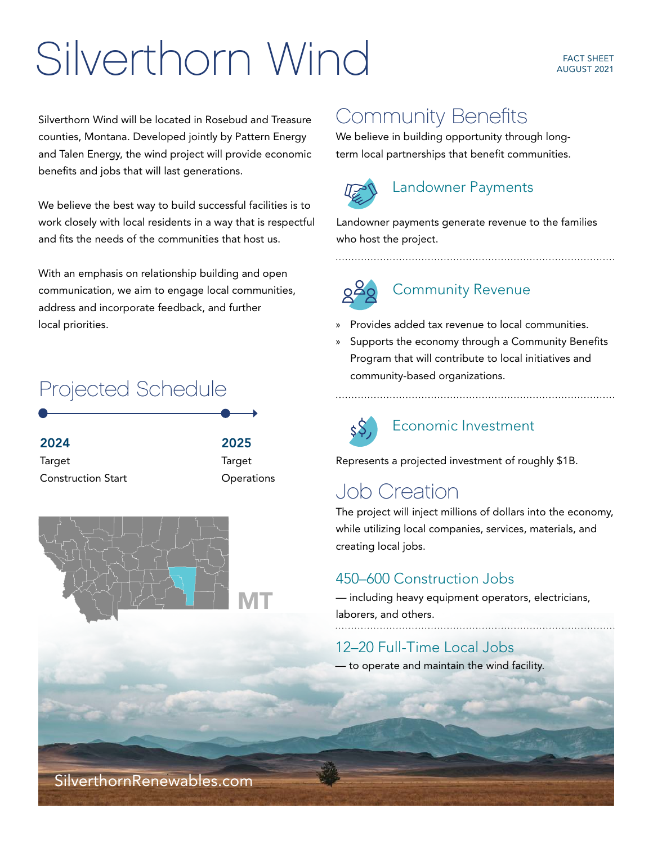# Silverthorn Wind FACT SHEET

Silverthorn Wind will be located in Rosebud and Treasure counties, Montana. Developed jointly by Pattern Energy and Talen Energy, the wind project will provide economic benefits and jobs that will last generations.

We believe the best way to build successful facilities is to work closely with local residents in a way that is respectful and fits the needs of the communities that host us.

With an emphasis on relationship building and open communication, we aim to engage local communities, address and incorporate feedback, and further local priorities.

## Projected Schedule

2024 **Target** Construction Start 2025 **Target Operations** 



## Community Benefits

We believe in building opportunity through longterm local partnerships that benefit communities.



### Landowner Payments

Landowner payments generate revenue to the families who host the project.

Community Revenue

- » Provides added tax revenue to local communities.
- » Supports the economy through a Community Benefits Program that will contribute to local initiatives and community-based organizations.



#### Economic Investment

Represents a projected investment of roughly \$1B.

## Job Creation

The project will inject millions of dollars into the economy, while utilizing local companies, services, materials, and creating local jobs.

#### 450–600 Construction Jobs

— including heavy equipment operators, electricians, laborers, and others.

## 12–20 Full-Time Local Jobs

— to operate and maintain the wind facility.